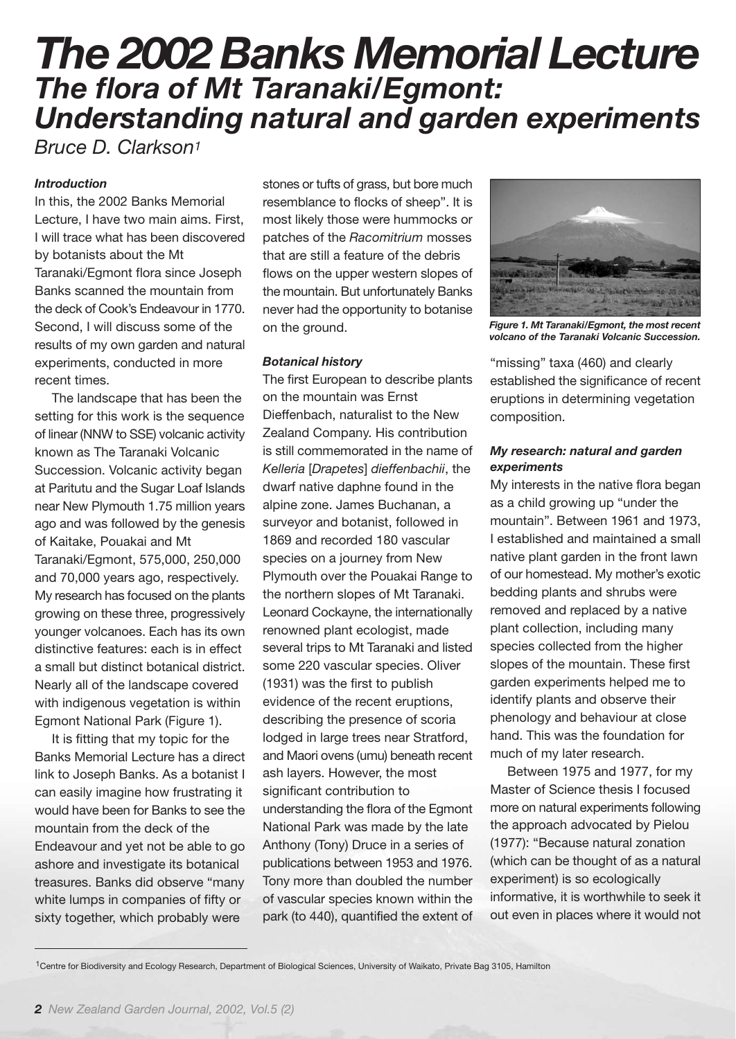# *The 2002 Banks Memorial Lecture The flora of Mt Taranaki/Egmont: Understanding natural and garden experiments*

*Bruce D. Clarkson1*

# *Introduction*

In this, the 2002 Banks Memorial Lecture, I have two main aims. First, I will trace what has been discovered by botanists about the Mt Taranaki/Egmont flora since Joseph Banks scanned the mountain from the deck of Cook's Endeavour in 1770. Second, I will discuss some of the results of my own garden and natural experiments, conducted in more recent times.

The landscape that has been the setting for this work is the sequence of linear (NNW to SSE) volcanic activity known as The Taranaki Volcanic Succession. Volcanic activity began at Paritutu and the Sugar Loaf Islands near New Plymouth 1.75 million years ago and was followed by the genesis of Kaitake, Pouakai and Mt Taranaki/Egmont, 575,000, 250,000 and 70,000 years ago, respectively. My research has focused on the plants growing on these three, progressively younger volcanoes. Each has its own distinctive features: each is in effect a small but distinct botanical district. Nearly all of the landscape covered with indigenous vegetation is within Egmont National Park (Figure 1).

It is fitting that my topic for the Banks Memorial Lecture has a direct link to Joseph Banks. As a botanist I can easily imagine how frustrating it would have been for Banks to see the mountain from the deck of the Endeavour and yet not be able to go ashore and investigate its botanical treasures. Banks did observe "many white lumps in companies of fifty or sixty together, which probably were

stones or tufts of grass, but bore much resemblance to flocks of sheep". It is most likely those were hummocks or patches of the *Racomitrium* mosses that are still a feature of the debris flows on the upper western slopes of the mountain. But unfortunately Banks never had the opportunity to botanise on the ground.

## *Botanical history*

The first European to describe plants on the mountain was Ernst Dieffenbach, naturalist to the New Zealand Company. His contribution is still commemorated in the name of *Kelleria* [*Drapetes*] *dieffenbachii*, the dwarf native daphne found in the alpine zone. James Buchanan, a surveyor and botanist, followed in 1869 and recorded 180 vascular species on a journey from New Plymouth over the Pouakai Range to the northern slopes of Mt Taranaki. Leonard Cockayne, the internationally renowned plant ecologist, made several trips to Mt Taranaki and listed some 220 vascular species. Oliver (1931) was the first to publish evidence of the recent eruptions, describing the presence of scoria lodged in large trees near Stratford, and Maori ovens (umu) beneath recent ash layers. However, the most significant contribution to understanding the flora of the Egmont National Park was made by the late Anthony (Tony) Druce in a series of publications between 1953 and 1976. Tony more than doubled the number of vascular species known within the park (to 440), quantified the extent of



*Figure 1. Mt Taranaki/Egmont, the most recent volcano of the Taranaki Volcanic Succession.*

"missing" taxa (460) and clearly established the significance of recent eruptions in determining vegetation composition.

## *My research: natural and garden experiments*

My interests in the native flora began as a child growing up "under the mountain". Between 1961 and 1973, I established and maintained a small native plant garden in the front lawn of our homestead. My mother's exotic bedding plants and shrubs were removed and replaced by a native plant collection, including many species collected from the higher slopes of the mountain. These first garden experiments helped me to identify plants and observe their phenology and behaviour at close hand. This was the foundation for much of my later research.

Between 1975 and 1977, for my Master of Science thesis I focused more on natural experiments following the approach advocated by Pielou (1977): "Because natural zonation (which can be thought of as a natural experiment) is so ecologically informative, it is worthwhile to seek it out even in places where it would not

<sup>1</sup>Centre for Biodiversity and Ecology Research, Department of Biological Sciences, University of Waikato, Private Bag 3105, Hamilton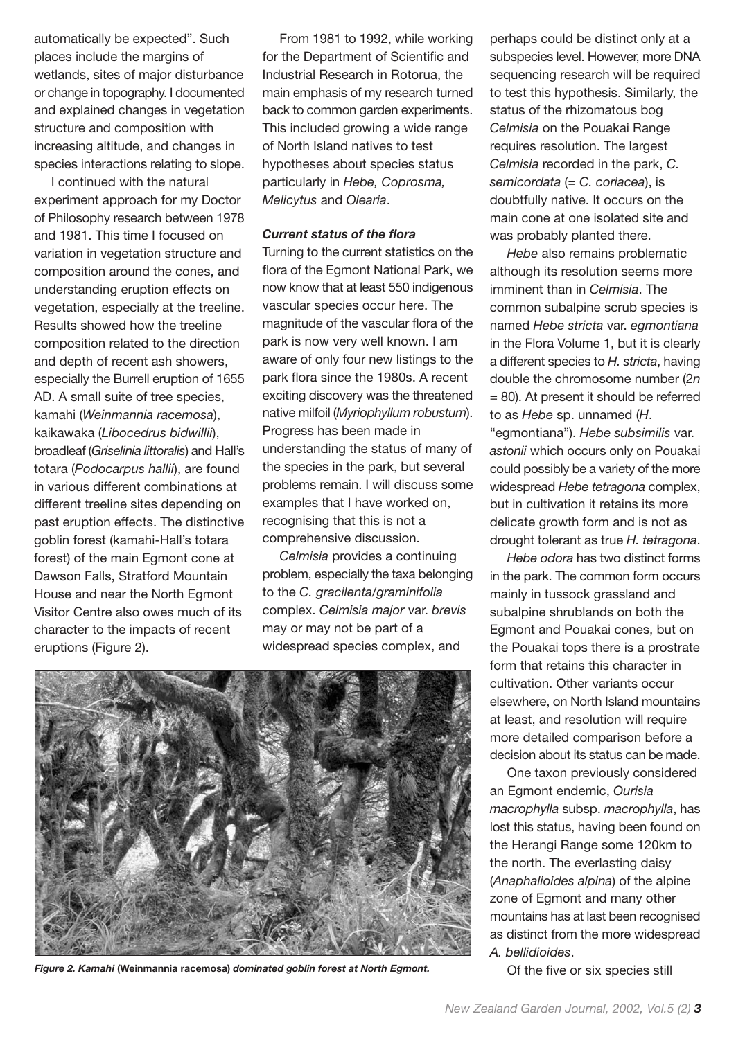automatically be expected". Such places include the margins of wetlands, sites of major disturbance or change in topography. I documented and explained changes in vegetation structure and composition with increasing altitude, and changes in species interactions relating to slope.

I continued with the natural experiment approach for my Doctor of Philosophy research between 1978 and 1981. This time I focused on variation in vegetation structure and composition around the cones, and understanding eruption effects on vegetation, especially at the treeline. Results showed how the treeline composition related to the direction and depth of recent ash showers, especially the Burrell eruption of 1655 AD. A small suite of tree species, kamahi (*Weinmannia racemosa*), kaikawaka (*Libocedrus bidwillii*), broadleaf (*Griselinia littoralis*) and Hall's totara (*Podocarpus hallii*), are found in various different combinations at different treeline sites depending on past eruption effects. The distinctive goblin forest (kamahi-Hall's totara forest) of the main Egmont cone at Dawson Falls, Stratford Mountain House and near the North Egmont Visitor Centre also owes much of its character to the impacts of recent eruptions (Figure 2).

From 1981 to 1992, while working for the Department of Scientific and Industrial Research in Rotorua, the main emphasis of my research turned back to common garden experiments. This included growing a wide range of North Island natives to test hypotheses about species status particularly in *Hebe, Coprosma, Melicytus* and *Olearia*.

#### *Current status of the flora*

Turning to the current statistics on the flora of the Egmont National Park, we now know that at least 550 indigenous vascular species occur here. The magnitude of the vascular flora of the park is now very well known. I am aware of only four new listings to the park flora since the 1980s. A recent exciting discovery was the threatened native milfoil (*Myriophyllum robustum*). Progress has been made in understanding the status of many of the species in the park, but several problems remain. I will discuss some examples that I have worked on, recognising that this is not a comprehensive discussion.

*Celmisia* provides a continuing problem, especially the taxa belonging to the *C. gracilenta/graminifolia* complex. *Celmisia major* var. *brevis* may or may not be part of a widespread species complex, and



Figure 2. Kamahi (Weinmannia racemosa) dominated goblin forest at North Egmont. *Of the five or six species still* 

perhaps could be distinct only at a subspecies level. However, more DNA sequencing research will be required to test this hypothesis. Similarly, the status of the rhizomatous bog *Celmisia* on the Pouakai Range requires resolution. The largest *Celmisia* recorded in the park, *C. semicordata* (*= C. coriacea*), is doubtfully native. It occurs on the main cone at one isolated site and was probably planted there.

*Hebe* also remains problematic although its resolution seems more imminent than in *Celmisia*. The common subalpine scrub species is named *Hebe stricta* var. *egmontiana* in the Flora Volume 1, but it is clearly a different species to *H. stricta*, having double the chromosome number (2*n* = 80). At present it should be referred to as *Hebe* sp. unnamed (*H*. "egmontiana"). *Hebe subsimilis* var. *astonii* which occurs only on Pouakai could possibly be a variety of the more widespread *Hebe tetragona* complex, but in cultivation it retains its more delicate growth form and is not as drought tolerant as true *H. tetragona*.

*Hebe odora* has two distinct forms in the park. The common form occurs mainly in tussock grassland and subalpine shrublands on both the Egmont and Pouakai cones, but on the Pouakai tops there is a prostrate form that retains this character in cultivation. Other variants occur elsewhere, on North Island mountains at least, and resolution will require more detailed comparison before a decision about its status can be made.

One taxon previously considered an Egmont endemic, *Ourisia macrophylla* subsp. *macrophylla*, has lost this status, having been found on the Herangi Range some 120km to the north. The everlasting daisy (*Anaphalioides alpina*) of the alpine zone of Egmont and many other mountains has at last been recognised as distinct from the more widespread *A. bellidioides*.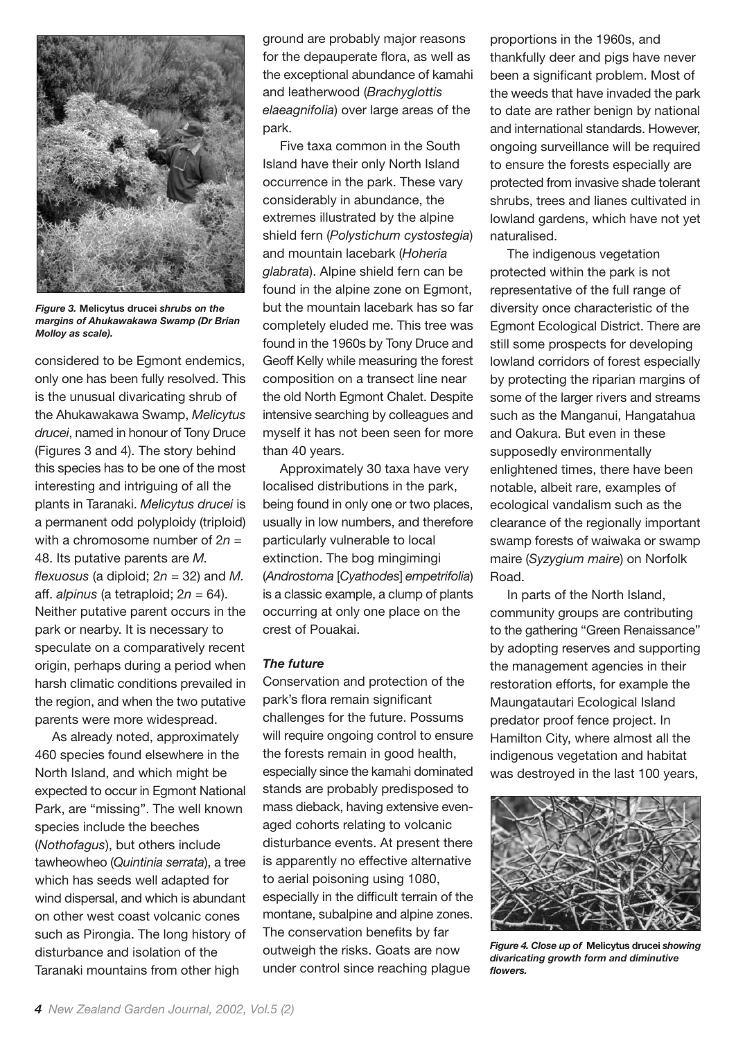

*Figure 3.* **Melicytus drucei** *shrubs on the margins of Ahukawakawa Swamp (Dr Brian Molloy as scale).*

considered to be Egmont endemics, only one has been fully resolved. This is the unusual divaricating shrub of the Ahukawakawa Swamp, *Melicytus drucei*, named in honour of Tony Druce (Figures 3 and 4). The story behind this species has to be one of the most interesting and intriguing of all the plants in Taranaki. *Melicytus drucei* is a permanent odd polyploidy (triploid) with a chromosome number of 2*n* = 48. Its putative parents are *M. flexuosus* (a diploid; 2*n* = 32) and *M.* aff. *alpinus* (a tetraploid; 2*n* = 64). Neither putative parent occurs in the park or nearby. It is necessary to speculate on a comparatively recent origin, perhaps during a period when harsh climatic conditions prevailed in the region, and when the two putative parents were more widespread.

As already noted, approximately 460 species found elsewhere in the North Island, and which might be expected to occur in Egmont National Park, are "missing". The well known species include the beeches (*Nothofagus*), but others include tawheowheo (*Quintinia serrata*), a tree which has seeds well adapted for wind dispersal, and which is abundant on other west coast volcanic cones such as Pirongia. The long history of disturbance and isolation of the Taranaki mountains from other high

ground are probably major reasons for the depauperate flora, as well as the exceptional abundance of kamahi and leatherwood (*Brachyglottis elaeagnifolia*) over large areas of the park.

Five taxa common in the South Island have their only North Island occurrence in the park. These vary considerably in abundance, the extremes illustrated by the alpine shield fern (*Polystichum cystostegia*) and mountain lacebark (*Hoheria glabrata*). Alpine shield fern can be found in the alpine zone on Egmont. but the mountain lacebark has so far completely eluded me. This tree was found in the 1960s by Tony Druce and Geoff Kelly while measuring the forest composition on a transect line near the old North Egmont Chalet. Despite intensive searching by colleagues and myself it has not been seen for more than 40 years.

Approximately 30 taxa have very localised distributions in the park, being found in only one or two places, usually in low numbers, and therefore particularly vulnerable to local extinction. The bog mingimingi (*Androstoma* [*Cyathodes*] *empetrifolia*) is a classic example, a clump of plants occurring at only one place on the crest of Pouakai.

#### *The future*

Conservation and protection of the park's flora remain significant challenges for the future. Possums will require ongoing control to ensure the forests remain in good health, especially since the kamahi dominated stands are probably predisposed to mass dieback, having extensive evenaged cohorts relating to volcanic disturbance events. At present there is apparently no effective alternative to aerial poisoning using 1080, especially in the difficult terrain of the montane, subalpine and alpine zones. The conservation benefits by far outweigh the risks. Goats are now under control since reaching plague

proportions in the 1960s, and thankfully deer and pigs have never been a significant problem. Most of the weeds that have invaded the park to date are rather benign by national and international standards. However, ongoing surveillance will be required to ensure the forests especially are protected from invasive shade tolerant shrubs, trees and lianes cultivated in lowland gardens, which have not yet naturalised.

The indigenous vegetation protected within the park is not representative of the full range of diversity once characteristic of the Egmont Ecological District. There are still some prospects for developing lowland corridors of forest especially by protecting the riparian margins of some of the larger rivers and streams such as the Manganui, Hangatahua and Oakura. But even in these supposedly environmentally enlightened times, there have been notable, albeit rare, examples of ecological vandalism such as the clearance of the regionally important swamp forests of waiwaka or swamp maire (*Syzygium maire*) on Norfolk Road.

In parts of the North Island, community groups are contributing to the gathering "Green Renaissance" by adopting reserves and supporting the management agencies in their restoration efforts, for example the Maungatautari Ecological Island predator proof fence project. In Hamilton City, where almost all the indigenous vegetation and habitat was destroyed in the last 100 years,



*Figure 4. Close up of* **Melicytus drucei** *showing divaricating growth form and diminutive flowers.*